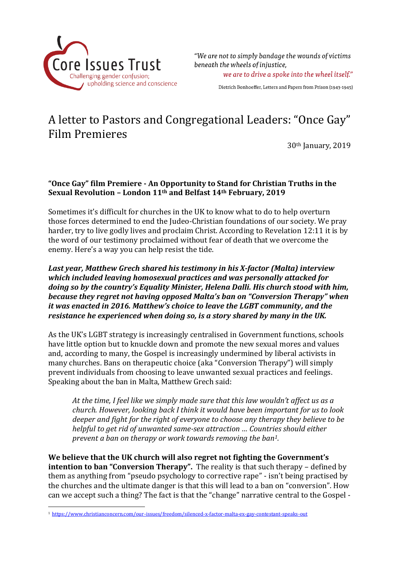

"We are not to simply bandage the wounds of victims beneath the wheels of injustice.

we are to drive a spoke into the wheel itself."

Dietrich Bonhoeffer, Letters and Papers from Prison (1943-1945)

## A letter to Pastors and Congregational Leaders: "Once Gay" Film Premieres

30th January, 2019

## **"Once Gay" film Premiere - An Opportunity to Stand for Christian Truths in the Sexual Revolution – London 11th and Belfast 14th February, 2019**

Sometimes it's difficult for churches in the UK to know what to do to help overturn those forces determined to end the Judeo-Christian foundations of our society. We pray harder, try to live godly lives and proclaim Christ. According to Revelation 12:11 it is by the word of our testimony proclaimed without fear of death that we overcome the enemy. Here's a way you can help resist the tide.

*Last year, Matthew Grech shared his testimony in his X-factor (Malta) interview which included leaving homosexual practices and was personally attacked for doing so by the country's Equality Minister, Helena Dalli. His church stood with him, because they regret not having opposed Malta's ban on "Conversion Therapy" when it was enacted in 2016. Matthew's choice to leave the LGBT community, and the resistance he experienced when doing so, is a story shared by many in the UK.*

As the UK's LGBT strategy is increasingly centralised in Government functions, schools have little option but to knuckle down and promote the new sexual mores and values and, according to many, the Gospel is increasingly undermined by liberal activists in many churches. Bans on therapeutic choice (aka "Conversion Therapy") will simply prevent individuals from choosing to leave unwanted sexual practices and feelings. Speaking about the ban in Malta, Matthew Grech said:

*At the time, I feel like we simply made sure that this law wouldn't affect us as a church. However, looking back I think it would have been important for us to look deeper and fight for the right of everyone to choose any therapy they believe to be helpful to get rid of unwanted same-sex attraction … Countries should either prevent a ban on therapy or work towards removing the ban1.*

**We believe that the UK church will also regret not fighting the Government's intention to ban "Conversion Therapy".** The reality is that such therapy – defined by them as anything from "pseudo psychology to corrective rape" - isn't being practised by the churches and the ultimate danger is that this will lead to a ban on "conversion". How can we accept such a thing? The fact is that the "change" narrative central to the Gospel -

l

<sup>1</sup> <https://www.christianconcern.com/our-issues/freedom/silenced-x-factor-malta-ex-gay-contestant-speaks-out>